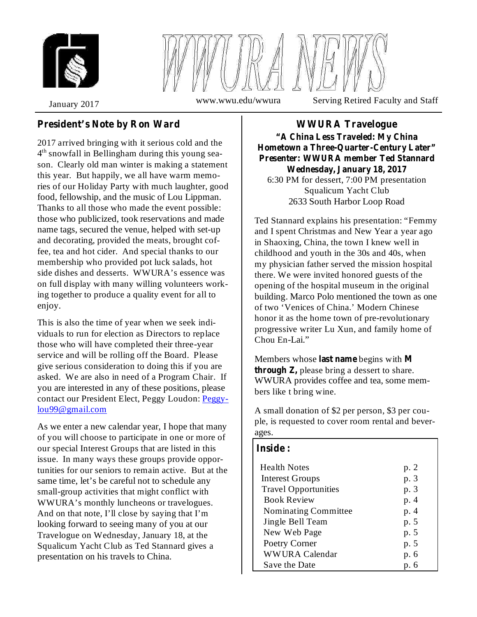



January 2017 www.wwu.edu/wwura Serving Retired Faculty and Staff

# **President's Note by Ron Ward WWURA Travelogue**

2017 arrived bringing with it serious cold and the 4 th snowfall in Bellingham during this young season. Clearly old man winter is making a statement this year. But happily, we all have warm memories of our Holiday Party with much laughter, good food, fellowship, and the music of Lou Lippman. Thanks to all those who made the event possible: those who publicized, took reservations and made name tags, secured the venue, helped with set-up and decorating, provided the meats, brought coffee, tea and hot cider. And special thanks to our membership who provided pot luck salads, hot side dishes and desserts. WWURA's essence was on full display with many willing volunteers working together to produce a quality event for all to enjoy.

This is also the time of year when we seek individuals to run for election as Directors to replace those who will have completed their three-year service and will be rolling off the Board. Please give serious consideration to doing this if you are asked. We are also in need of a Program Chair. If you are interested in any of these positions, please contact our President Elect, Peggy Loudon: Peggylou99@gmail.com

As we enter a new calendar year, I hope that many of you will choose to participate in one or more of our special Interest Groups that are listed in this issue. In many ways these groups provide opportunities for our seniors to remain active. But at the same time, let's be careful not to schedule any small-group activities that might conflict with WWURA's monthly luncheons or travelogues. And on that note, I'll close by saying that I'm looking forward to seeing many of you at our Travelogue on Wednesday, January 18, at the Squalicum Yacht Club as Ted Stannard gives a presentation on his travels to China.

6:30 PM for dessert, 7:00 PM presentation Squalicum Yacht Club 2633 South Harbor Loop Road **"A China Less Traveled: My China Hometown a Three-Quarter-Century Later" Presenter: WWURA member Ted Stannard Wednesday, January 18, 2017**

Ted Stannard explains his presentation: "Femmy and I spent Christmas and New Year a year ago in Shaoxing, China, the town I knew well in childhood and youth in the 30s and 40s, when my physician father served the mission hospital there. We were invited honored guests of the opening of the hospital museum in the original building. Marco Polo mentioned the town as one of two 'Venices of China.' Modern Chinese honor it as the home town of pre-revolutionary progressive writer Lu Xun, and family home of Chou En-Lai."

Members whose last name begins with M **through Z,** please bring a dessert to share. WWURA provides coffee and tea, some members like t bring wine.

A small donation of \$2 per person, \$3 per couple, is requested to cover room rental and beverages.

#### **Inside :**

| <b>Health Notes</b>         | p. 2 |
|-----------------------------|------|
| <b>Interest Groups</b>      | p. 3 |
| <b>Travel Opportunities</b> | p. 3 |
| <b>Book Review</b>          | p. 4 |
| Nominating Committee        | p. 4 |
| Jingle Bell Team            | p. 5 |
| New Web Page                | p. 5 |
| Poetry Corner               | p. 5 |
| <b>WWURA Calendar</b>       | p. 6 |
| Save the Date               | p. 6 |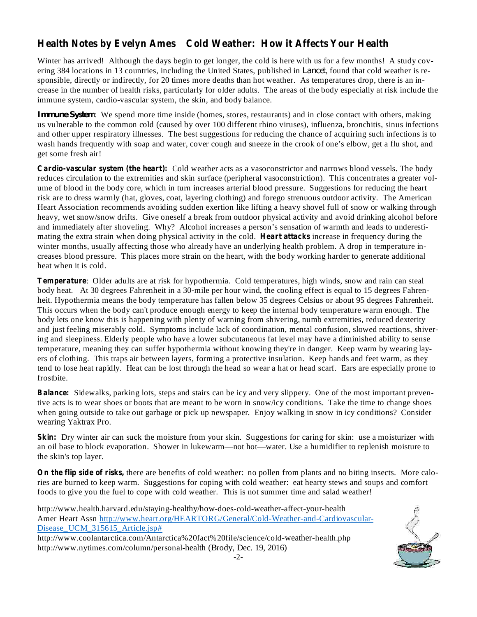# **Health Notes by Evelyn Ames Cold Weather: How it Affects Your Health**

Winter has arrived! Although the days begin to get longer, the cold is here with us for a few months! A study covering 384 locations in 13 countries, including the United States, published in *Lancet*, found that cold weather is responsible, directly or indirectly, for 20 times more deaths than hot weather. As temperatures drop, there is an increase in the number of health risks, particularly for older adults. The areas of the body especially at risk include the immune system, cardio-vascular system, the skin, and body balance.

*Immune System*: We spend more time inside (homes, stores, restaurants) and in close contact with others, making us vulnerable to the common cold (caused by over 100 different rhino viruses), influenza, bronchitis, sinus infections and other upper respiratory illnesses. The best suggestions for reducing the chance of acquiring such infections is to wash hands frequently with soap and water, cover cough and sneeze in the crook of one's elbow, get a flu shot, and get some fresh air!

**Cardio-vascular system (the heart):** Cold weather acts as a vasoconstrictor and narrows blood vessels. The body mating the extra strain when doing physical activity in the cold. **Heart attacks** increase in frequency during the reduces circulation to the extremities and skin surface (peripheral vasoconstriction). This concentrates a greater volume of blood in the body core, which in turn increases arterial blood pressure. Suggestions for reducing the heart risk are to dress warmly (hat, gloves, coat, layering clothing) and forego strenuous outdoor activity. The American Heart Association recommends avoiding sudden exertion like lifting a heavy shovel full of snow or walking through heavy, wet snow/snow drifts. Give oneself a break from outdoor physical activity and avoid drinking alcohol before and immediately after shoveling. Why? Alcohol increases a person's sensation of warmth and leads to underestiwinter months, usually affecting those who already have an underlying health problem. A drop in temperature increases blood pressure. This places more strain on the heart, with the body working harder to generate additional heat when it is cold.

**Temperature** : Older adults are at risk for hypothermia. Cold temperatures, high winds, snow and rain can steal body heat. At 30 degrees Fahrenheit in a 30-mile per hour wind, the cooling effect is equal to 15 degrees Fahrenheit. Hypothermia means the body temperature has fallen below 35 degrees Celsius or about 95 degrees Fahrenheit. This occurs when the body can't produce enough energy to keep the internal body temperature warm enough. The body lets one know this is happening with plenty of warning from shivering, numb extremities, reduced dexterity and just feeling miserably cold. Symptoms include lack of coordination, mental confusion, slowed reactions, shivering and sleepiness. Elderly people who have a lower subcutaneous fat level may have a diminished ability to sense temperature, meaning they can suffer hypothermia without knowing they're in danger. Keep warm by wearing layers of clothing. This traps air between layers, forming a protective insulation. Keep hands and feet warm, as they tend to lose heat rapidly. Heat can be lost through the head so wear a hat or head scarf. Ears are especially prone to frostbite.

**Balance:** Sidewalks, parking lots, steps and stairs can be icy and very slippery. One of the most important preventive acts is to wear shoes or boots that are meant to be worn in snow/icy conditions. Take the time to change shoes when going outside to take out garbage or pick up newspaper. Enjoy walking in snow in icy conditions? Consider wearing Yaktrax Pro.

**Skin:** Dry winter air can suck the moisture from your skin. Suggestions for caring for skin: use a moisturizer with an oil base to block evaporation. Shower in lukewarm—not hot—water. Use a humidifier to replenish moisture to the skin's top layer.

**On the flip side of risks,** there are benefits of cold weather: no pollen from plants and no biting insects. More calories are burned to keep warm. Suggestions for coping with cold weather: eat hearty stews and soups and comfort foods to give you the fuel to cope with cold weather. This is not summer time and salad weather!

http://www.health.harvard.edu/staying-healthy/how-does-cold-weather-affect-your-health Amer Heart Assn http://www.heart.org/HEARTORG/General/Cold-Weather-and-Cardiovascular-Disease\_UCM\_315615\_Article.jsp#

http://www.coolantarctica.com/Antarctica%20fact%20file/science/cold-weather-health.php http://www.nytimes.com/column/personal-health (Brody, Dec. 19, 2016)

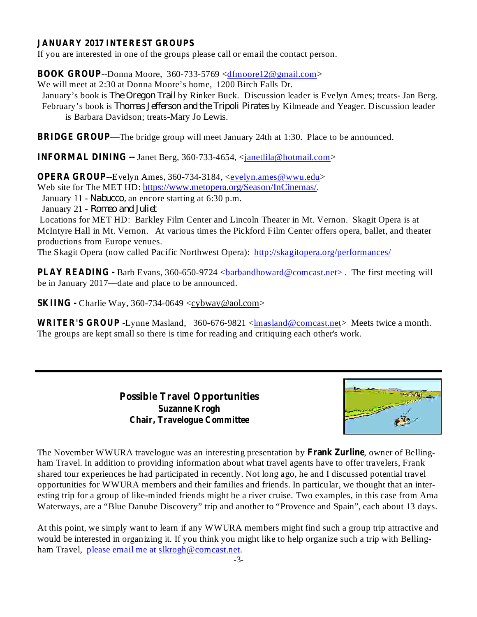#### **JANUARY 2017 INTEREST GROUPS**

If you are interested in one of the groups please call or email the contact person.

**BOOK GROUP**--Donna Moore, 360-733-5769 <dfmoore12@gmail.com>

We will meet at 2:30 at Donna Moore's home, 1200 Birch Falls Dr.

January's book is *The Oregon Trail* by Rinker Buck. Discussion leader is Evelyn Ames; treats- Jan Berg. February's book is *Thomas Jefferson and the Tripoli Pirates* by Kilmeade and Yeager. Discussion leader is Barbara Davidson; treats-Mary Jo Lewis.

**BRIDGE GROUP**—The bridge group will meet January 24th at 1:30. Place to be announced.

**INFORMAL DINING --** Janet Berg, 360-733-4654, <janetlila@hotmail.com>

**OPERA GROUP**--Evelyn Ames, 360-734-3184, <<u>evelyn.ames@wwu.edu</u>>

Web site for The MET HD: https://www.metopera.org/Season/InCinemas/.

January 11 - Nabucco, an encore starting at 6:30 p.m.

January 21 - *Romeo and Juliet*

Locations for MET HD: Barkley Film Center and Lincoln Theater in Mt. Vernon. Skagit Opera is at McIntyre Hall in Mt. Vernon. At various times the Pickford Film Center offers opera, ballet, and theater productions from Europe venues.

The Skagit Opera (now called Pacific Northwest Opera): http://skagitopera.org/performances/

**PLAY READING** - Barb Evans, 360-650-9724 < barbandhoward@comcast.net> . The first meeting will be in January 2017—date and place to be announced.

**SKIING -** Charlie Way, 360-734-0649 <cybway@aol.com>

**WRITER'S GROUP** -Lynne Masland, 360-676-9821 <lmasland@comcast.net> Meets twice a month. The groups are kept small so there is time for reading and critiquing each other's work.

> **Possible Travel Opportunities Suzanne Krogh Chair, Travelogue Committee**



The November WWURA travelogue was an interesting presentation by Frank Zurline, owner of Bellingham Travel. In addition to providing information about what travel agents have to offer travelers, Frank shared tour experiences he had participated in recently. Not long ago, he and I discussed potential travel opportunities for WWURA members and their families and friends. In particular, we thought that an interesting trip for a group of like-minded friends might be a river cruise. Two examples, in this case from Ama Waterways, are a "Blue Danube Discovery" trip and another to "Provence and Spain", each about 13 days.

At this point, we simply want to learn if any WWURA members might find such a group trip attractive and would be interested in organizing it. If you think you might like to help organize such a trip with Bellingham Travel, please email me at slkrogh@comcast.net.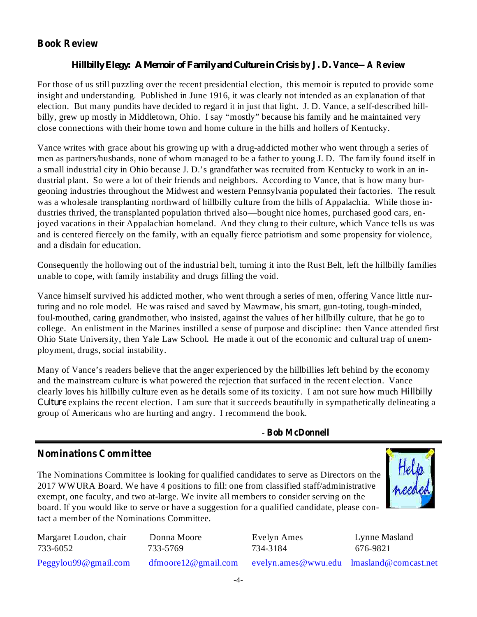## **Book Review**

#### **by J. D. Vance—A Review** *Hillbilly Elegy: A Memoir of Family and Culture in Crisis*

For those of us still puzzling over the recent presidential election, this memoir is reputed to provide some insight and understanding. Published in June 1916, it was clearly not intended as an explanation of that election. But many pundits have decided to regard it in just that light. J. D. Vance, a self-described hillbilly, grew up mostly in Middletown, Ohio. I say "mostly" because his family and he maintained very close connections with their home town and home culture in the hills and hollers of Kentucky.

Vance writes with grace about his growing up with a drug-addicted mother who went through a series of men as partners/husbands, none of whom managed to be a father to young J. D. The family found itself in a small industrial city in Ohio because J. D.'s grandfather was recruited from Kentucky to work in an industrial plant. So were a lot of their friends and neighbors. According to Vance, that is how many burgeoning industries throughout the Midwest and western Pennsylvania populated their factories. The result was a wholesale transplanting northward of hillbilly culture from the hills of Appalachia. While those industries thrived, the transplanted population thrived also—bought nice homes, purchased good cars, enjoyed vacations in their Appalachian homeland. And they clung to their culture, which Vance tells us was and is centered fiercely on the family, with an equally fierce patriotism and some propensity for violence, and a disdain for education.

Consequently the hollowing out of the industrial belt, turning it into the Rust Belt, left the hillbilly families unable to cope, with family instability and drugs filling the void.

Vance himself survived his addicted mother, who went through a series of men, offering Vance little nurturing and no role model. He was raised and saved by Mawmaw, his smart, gun-toting, tough-minded, foul-mouthed, caring grandmother, who insisted, against the values of her hillbilly culture, that he go to college. An enlistment in the Marines instilled a sense of purpose and discipline: then Vance attended first Ohio State University, then Yale Law School. He made it out of the economic and cultural trap of unemployment, drugs, social instability.

Many of Vance's readers believe that the anger experienced by the hillbillies left behind by the economy and the mainstream culture is what powered the rejection that surfaced in the recent election. Vance clearly loves his hillbilly culture even as he details some of its toxicity. I am not sure how much *Hillbilly* Culture explains the recent election. I am sure that it succeeds beautifully in sympathetically delineating a group of Americans who are hurting and angry. I recommend the book.

#### **Bob McDonnell** -

#### **Nominations Committee**

The Nominations Committee is looking for qualified candidates to serve as Directors on the 2017 WWURA Board. We have 4 positions to fill: one from classified staff/administrative exempt, one faculty, and two at-large. We invite all members to consider serving on the board. If you would like to serve or have a suggestion for a qualified candidate, please contact a member of the Nominations Committee.



| Margaret Loudon, chair | Donna Moore                | Evelyn Ames                              | Lynne Masland |
|------------------------|----------------------------|------------------------------------------|---------------|
| 733-6052               | 733-5769                   | 734-3184                                 | 676-9821      |
| Peggylou99@gmail.com   | $d$ fmoore $12@$ gmail.com | evelyn.ames@wwu.edu lmasland@comcast.net |               |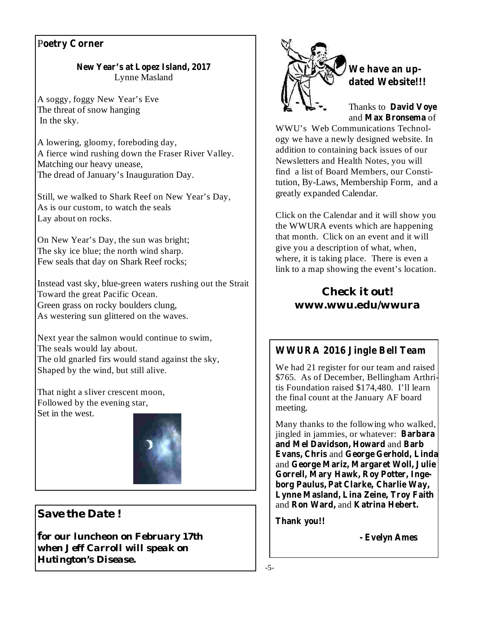# Poetry **Corner**

#### New Year's at Lopez Island, 2017 Lynne Masland

A soggy, foggy New Year's Eve The threat of snow hanging In the sky.

A lowering, gloomy, foreboding day, A fierce wind rushing down the Fraser River Valley. Matching our heavy unease, The dread of January's Inauguration Day.

Still, we walked to Shark Reef on New Year's Day, As is our custom, to watch the seals Lay about on rocks.

On New Year's Day, the sun was bright; The sky ice blue; the north wind sharp. Few seals that day on Shark Reef rocks;

Instead vast sky, blue-green waters rushing out the Strait Toward the great Pacific Ocean. Green grass on rocky boulders clung, As westering sun glittered on the waves.

Next year the salmon would continue to swim, The seals would lay about. The old gnarled firs would stand against the sky, Shaped by the wind, but still alive.

That night a sliver crescent moon, Followed by the evening star, Set in the west.



# *Save the Date !*

*for our luncheon on February 17th when Jeff Carroll will speak on Hutington's Disease.*



# **dated Website!!!**

#### **David Voye** Thanks to and Max Bronsema of

WWU's Web Communications Technology we have a newly designed website. In addition to containing back issues of our Newsletters and Health Notes, you will find a list of Board Members, our Constitution, By-Laws, Membership Form, and a greatly expanded Calendar.

Click on the Calendar and it will show you the WWURA events which are happening that month. Click on an event and it will give you a description of what, when, where, it is taking place. There is even a link to a map showing the event's location.

# *Check it out!* **www.wwu.edu/wwura**

# **WWURA 2016 Jingle Bell Team**

We had 21 register for our team and raised \$765. As of December, Bellingham Arthritis Foundation raised \$174,480. I'll learn the final count at the January AF board meeting.

jingled in jammies, or whatever: **Barbara** and Mel Davidson, Howard and Barb **Evans, Chris** and George Gerhold, Linda **George Mariz, Margaret Woll, Julie** and **Gorrell, Mary Hawk, Roy Potter, Ingeborg Paulus, Pat Clarke, Charlie Way, Lynne Masland, Lina Zeine, Troy Faith** and Ron Ward, and Katrina Hebert. Many thanks to the following who walked,

**Thank you!!**

**- Evelyn Ames**